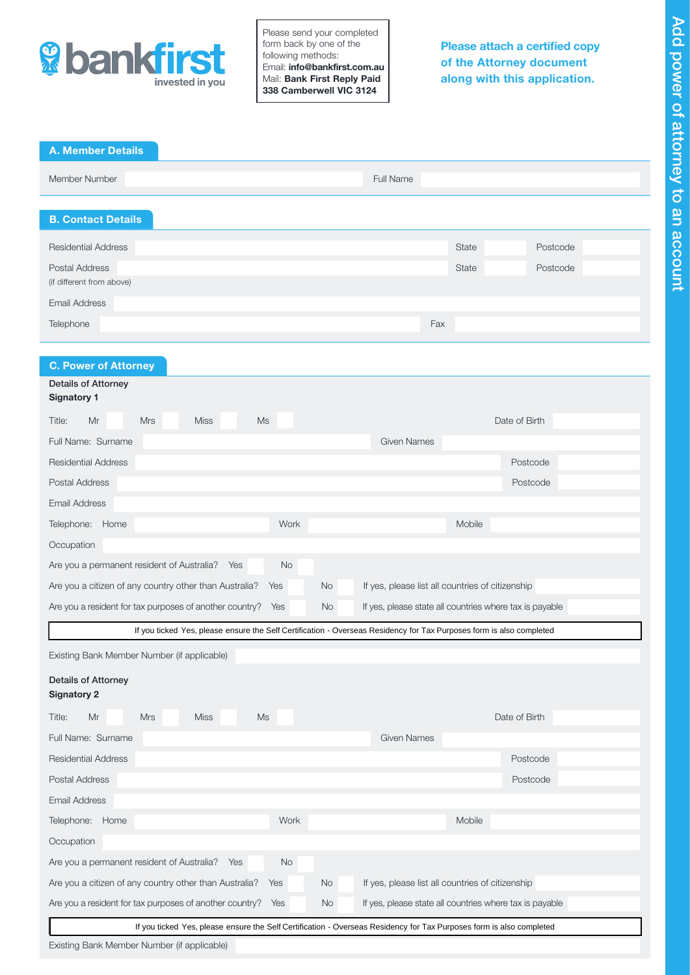

Please send your completed form back by one of the following methods: Email: info@bankfirst.com.au Mail: Bank First Reply Paid 338 Camberwell VIC 3124

Please attach a certified copy of the Attorney document along with this application.

# A. Member Details

| Member Number                                      | Full Name |       |          |
|----------------------------------------------------|-----------|-------|----------|
| <b>B. Contact Details</b>                          |           |       |          |
| <b>Residential Address</b>                         |           | State | Postcode |
| <b>Postal Address</b><br>(if different from above) |           | State | Postcode |
| <b>Email Address</b>                               |           |       |          |
| Telephone                                          | Fax       |       |          |

# C. Power of Attorney

| <b>Details of Attorney</b><br><b>Signatory 1</b>                                                                     |                  |                    |                                                         |  |  |
|----------------------------------------------------------------------------------------------------------------------|------------------|--------------------|---------------------------------------------------------|--|--|
| $\mathsf{Ms}$<br><b>Mrs</b><br><b>Miss</b><br>Title:<br>Mr                                                           |                  |                    | Date of Birth                                           |  |  |
| Full Name: Surname                                                                                                   |                  | <b>Given Names</b> |                                                         |  |  |
| <b>Residential Address</b>                                                                                           |                  |                    | Postcode                                                |  |  |
| <b>Postal Address</b>                                                                                                |                  |                    | Postcode                                                |  |  |
| Email Address                                                                                                        |                  |                    |                                                         |  |  |
| Telephone: Home                                                                                                      | Work             |                    | Mobile                                                  |  |  |
| Occupation                                                                                                           |                  |                    |                                                         |  |  |
| Are you a permanent resident of Australia?<br>Yes                                                                    | <b>No</b>        |                    |                                                         |  |  |
| Are you a citizen of any country other than Australia?                                                               | No.<br>Yes       |                    | If yes, please list all countries of citizenship        |  |  |
| Are you a resident for tax purposes of another country?                                                              | Yes<br><b>No</b> |                    | If yes, please state all countries where tax is payable |  |  |
| If you ticked Yes, please ensure the Self Certification - Overseas Residency for Tax Purposes form is also completed |                  |                    |                                                         |  |  |
| Existing Bank Member Number (if applicable)                                                                          |                  |                    |                                                         |  |  |
| <b>Details of Attorney</b><br><b>Signatory 2</b>                                                                     |                  |                    |                                                         |  |  |
| Mr<br><b>Mrs</b><br><b>Miss</b><br>Ms<br>Title:                                                                      |                  |                    | Date of Birth                                           |  |  |
| Full Name: Surname                                                                                                   |                  | <b>Given Names</b> |                                                         |  |  |
| <b>Residential Address</b>                                                                                           |                  |                    | Postcode                                                |  |  |
| <b>Postal Address</b>                                                                                                |                  |                    | Postcode                                                |  |  |
| <b>Email Address</b>                                                                                                 |                  |                    |                                                         |  |  |
| Telephone: Home                                                                                                      | Work             |                    | Mobile                                                  |  |  |
| Occupation                                                                                                           |                  |                    |                                                         |  |  |
| Are you a permanent resident of Australia?<br>Yes                                                                    | <b>No</b>        |                    |                                                         |  |  |
| Are you a citizen of any country other than Australia?                                                               | <b>No</b><br>Yes |                    | If yes, please list all countries of citizenship        |  |  |
| Are you a resident for tax purposes of another country? Yes                                                          | No.              |                    | If yes, please state all countries where tax is payable |  |  |
| If you ticked Yes, please ensure the Self Certification - Overseas Residency for Tax Purposes form is also completed |                  |                    |                                                         |  |  |

Existing Bank Member Number (if applicable)